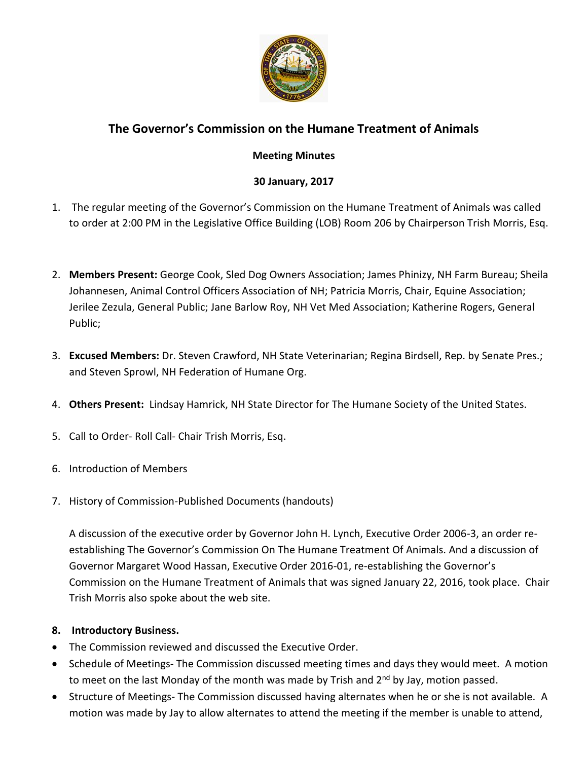

# **The Governor's Commission on the Humane Treatment of Animals**

### **Meeting Minutes**

## **30 January, 2017**

- 1. The regular meeting of the Governor's Commission on the Humane Treatment of Animals was called to order at 2:00 PM in the Legislative Office Building (LOB) Room 206 by Chairperson Trish Morris, Esq.
- 2. **Members Present:** George Cook, Sled Dog Owners Association; James Phinizy, NH Farm Bureau; Sheila Johannesen, Animal Control Officers Association of NH; Patricia Morris, Chair, Equine Association; Jerilee Zezula, General Public; Jane Barlow Roy, NH Vet Med Association; Katherine Rogers, General Public;
- 3. **Excused Members:** Dr. Steven Crawford, NH State Veterinarian; Regina Birdsell, Rep. by Senate Pres.; and Steven Sprowl, NH Federation of Humane Org.
- 4. **Others Present:** Lindsay Hamrick, NH State Director for The Humane Society of the United States.
- 5. Call to Order- Roll Call- Chair Trish Morris, Esq.
- 6. Introduction of Members
- 7. History of Commission-Published Documents (handouts)

A discussion of the executive order by Governor John H. Lynch, Executive Order 2006-3, an order reestablishing The Governor's Commission On The Humane Treatment Of Animals. And a discussion of Governor Margaret Wood Hassan, Executive Order 2016-01, re-establishing the Governor's Commission on the Humane Treatment of Animals that was signed January 22, 2016, took place. Chair Trish Morris also spoke about the web site.

#### **8. Introductory Business.**

- The Commission reviewed and discussed the Executive Order.
- Schedule of Meetings- The Commission discussed meeting times and days they would meet. A motion to meet on the last Monday of the month was made by Trish and  $2^{nd}$  by Jay, motion passed.
- Structure of Meetings- The Commission discussed having alternates when he or she is not available. A motion was made by Jay to allow alternates to attend the meeting if the member is unable to attend,